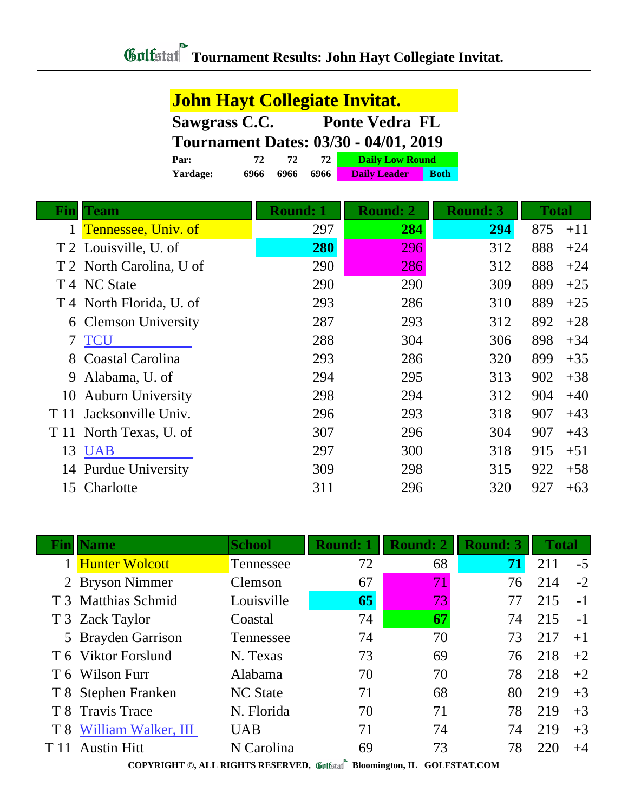|      | <b>John Hayt Collegiate Invitat.</b> |                       |                                              |            |                        |                 |              |       |
|------|--------------------------------------|-----------------------|----------------------------------------------|------------|------------------------|-----------------|--------------|-------|
|      | Sawgrass C.C.                        | <b>Ponte Vedra FL</b> |                                              |            |                        |                 |              |       |
|      |                                      |                       | <b>Tournament Dates: 03/30 - 04/01, 2019</b> |            |                        |                 |              |       |
|      | Par:                                 | 72                    | 72                                           | 72         | <b>Daily Low Round</b> |                 |              |       |
|      | Yardage:                             | 6966<br>6966          | 6966                                         |            | <b>Daily Leader</b>    | <b>Both</b>     |              |       |
| Fin  | <b>Team</b>                          |                       | <b>Round: 1</b>                              |            | <b>Round: 2</b>        | <b>Round: 3</b> | <b>Total</b> |       |
| 1    | Tennessee, Univ. of                  |                       |                                              | 297        | 284                    | 294             | 875          | $+11$ |
|      | T 2 Louisville, U. of                |                       |                                              | <b>280</b> | 296                    | 312             | 888          | $+24$ |
|      | North Carolina, U of                 |                       |                                              | 290        | 286                    | 312             | 888          | $+24$ |
| T4   | <b>NC State</b>                      |                       |                                              | 290        | 290                    | 309             | 889          | $+25$ |
|      | T 4 North Florida, U. of             |                       |                                              | 293        | 286                    | 310             | 889          | $+25$ |
| 6    | <b>Clemson University</b>            |                       |                                              | 287        | 293                    | 312             | 892          | $+28$ |
| 7    | <b>TCU</b>                           |                       |                                              | 288        | 304                    | 306             | 898          | $+34$ |
| 8    | Coastal Carolina                     |                       |                                              | 293        | 286                    | 320             | 899          | $+35$ |
| 9    | Alabama, U. of                       |                       |                                              | 294        | 295                    | 313             | 902          | $+38$ |
| 10   | <b>Auburn University</b>             |                       |                                              | 298        | 294                    | 312             | 904          | $+40$ |
| T 11 | Jacksonville Univ.                   |                       |                                              | 296        | 293                    | 318             | 907          | $+43$ |
| T 11 | North Texas, U. of                   |                       |                                              | 307        | 296                    | 304             | 907          | $+43$ |
| 13   | <b>UAB</b>                           |                       |                                              | 297        | 300                    | 318             | 915          | $+51$ |
| 14   | <b>Purdue University</b>             |                       |                                              | 309        | 298                    | 315             | 922          | $+58$ |
|      | 15 Charlotte                         |                       |                                              | 311        | 296                    | 320             | 927          | $+63$ |

|      | <b>Fin Name</b>         | <b>School</b>   | <b>Round: 1</b> | <b>Round: 2</b> | <b>Round: 3</b> | <b>Total</b> |      |
|------|-------------------------|-----------------|-----------------|-----------------|-----------------|--------------|------|
|      | 1 Hunter Wolcott        | Tennessee       | 72              | 68              | 71              | 211          | $-5$ |
|      | 2 Bryson Nimmer         | Clemson         | 67              | $71\,$          | 76              | 214          | $-2$ |
|      | T 3 Matthias Schmid     | Louisville      | 65              | 73              | 77              | 215          | $-1$ |
|      | T 3 Zack Taylor         | Coastal         | 74              | 67              | 74              | 215          | $-1$ |
|      | 5 Brayden Garrison      | Tennessee       | 74              | 70              | 73              | 217          | $+1$ |
|      | T 6 Viktor Forslund     | N. Texas        | 73              | 69              | 76              | 218          | $+2$ |
|      | T 6 Wilson Furr         | Alabama         | 70              | 70              | 78              | 218          | $+2$ |
|      | T 8 Stephen Franken     | <b>NC</b> State | 71              | 68              | 80              | 219          | $+3$ |
|      | T 8 Travis Trace        | N. Florida      | 70              | 71              | 78              | 219          | $+3$ |
|      | T 8 William Walker, III | <b>UAB</b>      | 71              | 74              | 74              | 219          | $+3$ |
| T 11 | <b>Austin Hitt</b>      | N Carolina      | 69              | 73              | 78              | 220          | $+4$ |
|      |                         |                 |                 |                 |                 |              |      |

**COPYRIGHT ©, ALL RIGHTS RESERVED, Bloomington, IL GOLFSTAT.COM**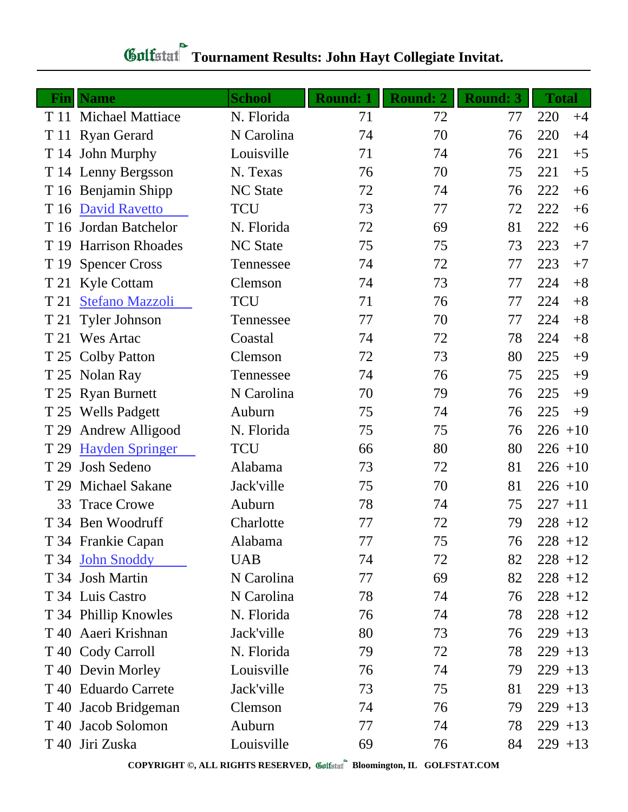| Fin  | <b>Name</b>             | <b>School</b>   | Round: 1 | Round: 2 | <b>Round: 3</b> | <b>Total</b> |
|------|-------------------------|-----------------|----------|----------|-----------------|--------------|
|      | T 11 Michael Mattiace   | N. Florida      | 71       | 72       | 77              | 220<br>$+4$  |
|      | T 11 Ryan Gerard        | N Carolina      | 74       | 70       | 76              | 220<br>$+4$  |
|      | T 14 John Murphy        | Louisville      | 71       | 74       | 76              | 221<br>$+5$  |
|      | T 14 Lenny Bergsson     | N. Texas        | 76       | 70       | 75              | 221<br>$+5$  |
|      | T 16 Benjamin Shipp     | <b>NC State</b> | 72       | 74       | 76              | 222<br>$+6$  |
| T 16 | <b>David Ravetto</b>    | <b>TCU</b>      | 73       | 77       | 72              | 222<br>$+6$  |
| T 16 | Jordan Batchelor        | N. Florida      | 72       | 69       | 81              | 222<br>$+6$  |
| T 19 | <b>Harrison Rhoades</b> | <b>NC</b> State | 75       | 75       | 73              | 223<br>$+7$  |
| T 19 | <b>Spencer Cross</b>    | Tennessee       | 74       | 72       | 77              | 223<br>$+7$  |
|      | T 21 Kyle Cottam        | Clemson         | 74       | 73       | 77              | $+8$<br>224  |
| T 21 | <b>Stefano Mazzoli</b>  | <b>TCU</b>      | 71       | 76       | 77              | $+8$<br>224  |
| T 21 | <b>Tyler Johnson</b>    | Tennessee       | 77       | 70       | 77              | $+8$<br>224  |
| T 21 | <b>Wes Artac</b>        | Coastal         | 74       | 72       | 78              | 224<br>$+8$  |
|      | T 25 Colby Patton       | Clemson         | 72       | 73       | 80              | 225<br>$+9$  |
| T 25 | Nolan Ray               | Tennessee       | 74       | 76       | 75              | 225<br>$+9$  |
|      | T 25 Ryan Burnett       | N Carolina      | 70       | 79       | 76              | 225<br>$+9$  |
| T 25 | <b>Wells Padgett</b>    | Auburn          | 75       | 74       | 76              | 225<br>$+9$  |
| T 29 | <b>Andrew Alligood</b>  | N. Florida      | 75       | 75       | 76              | $226 + 10$   |
| T 29 | <b>Hayden Springer</b>  | <b>TCU</b>      | 66       | 80       | 80              | $226 + 10$   |
| T 29 | Josh Sedeno             | Alabama         | 73       | 72       | 81              | $226 + 10$   |
| T 29 | <b>Michael Sakane</b>   | Jack'ville      | 75       | 70       | 81              | $226 + 10$   |
| 33   | <b>Trace Crowe</b>      | Auburn          | 78       | 74       | 75              | $227 + 11$   |
|      | T 34 Ben Woodruff       | Charlotte       | 77       | 72       | 79              | $228 + 12$   |
|      | T 34 Frankie Capan      | Alabama         | 77       | 75       | 76              | $228 + 12$   |
|      | T 34 John Snoddy        | <b>UAB</b>      | 74       | 72       | 82              | $228 + 12$   |
|      | T 34 Josh Martin        | N Carolina      | 77       | 69       | 82              | $228 + 12$   |
|      | T 34 Luis Castro        | N Carolina      | 78       | 74       | 76              | $228 + 12$   |
|      | T 34 Phillip Knowles    | N. Florida      | 76       | 74       | 78              | $228 + 12$   |
|      | T 40 Aaeri Krishnan     | Jack'ville      | 80       | 73       | 76              | $229 + 13$   |
|      | T 40 Cody Carroll       | N. Florida      | 79       | 72       | 78              | $229 + 13$   |
|      | T 40 Devin Morley       | Louisville      | 76       | 74       | 79              | $229 + 13$   |
|      | T 40 Eduardo Carrete    | Jack'ville      | 73       | 75       | 81              | $229 + 13$   |
|      | T 40 Jacob Bridgeman    | Clemson         | 74       | 76       | 79              | $229 + 13$   |
| T 40 | Jacob Solomon           | Auburn          | 77       | 74       | 78              | $229 + 13$   |
|      | T 40 Jiri Zuska         | Louisville      | 69       | 76       | 84              | $229 + 13$   |

## **Gulfatat** Tournament Results: John Hayt Collegiate Invitat.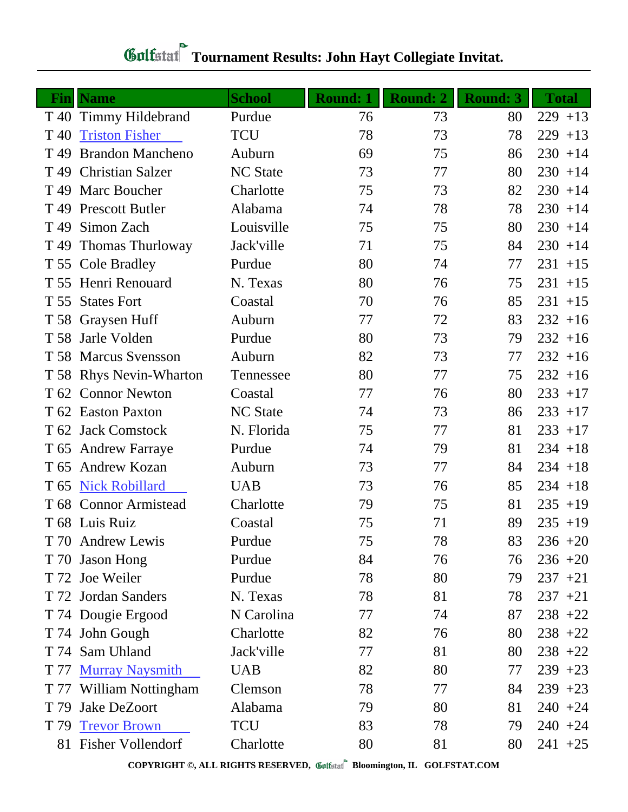| Fin             | <b>Name</b>              | <b>School</b>   | <b>Round: 1</b> | <b>Round: 2</b> | <b>Round: 3</b> | <b>Total</b> |
|-----------------|--------------------------|-----------------|-----------------|-----------------|-----------------|--------------|
| T 40            | Timmy Hildebrand         | Purdue          | 76              | 73              | 80              | $229 + 13$   |
| T <sub>40</sub> | <b>Triston Fisher</b>    | <b>TCU</b>      | 78              | 73              | 78              | 229<br>$+13$ |
| T <sub>49</sub> | <b>Brandon Mancheno</b>  | Auburn          | 69              | 75              | 86              | $230 + 14$   |
| T <sub>49</sub> | <b>Christian Salzer</b>  | <b>NC</b> State | 73              | 77              | 80              | $230 + 14$   |
| T <sub>49</sub> | Marc Boucher             | Charlotte       | 75              | 73              | 82              | $230 + 14$   |
| T 49            | <b>Prescott Butler</b>   | Alabama         | 74              | 78              | 78              | $230 + 14$   |
| T <sub>49</sub> | Simon Zach               | Louisville      | 75              | 75              | 80              | $230 + 14$   |
| T <sub>49</sub> | <b>Thomas Thurloway</b>  | Jack'ville      | 71              | 75              | 84              | $230 + 14$   |
|                 | T 55 Cole Bradley        | Purdue          | 80              | 74              | 77              | $231 + 15$   |
|                 | T 55 Henri Renouard      | N. Texas        | 80              | 76              | 75              | $231 + 15$   |
| T 55            | <b>States Fort</b>       | Coastal         | 70              | 76              | 85              | $231 + 15$   |
|                 | T 58 Graysen Huff        | Auburn          | 77              | 72              | 83              | $232 + 16$   |
| T 58            | Jarle Volden             | Purdue          | 80              | 73              | 79              | $232 + 16$   |
|                 | T 58 Marcus Svensson     | Auburn          | 82              | 73              | 77              | $232 + 16$   |
|                 | T 58 Rhys Nevin-Wharton  | Tennessee       | 80              | 77              | 75              | $232 + 16$   |
|                 | T 62 Connor Newton       | Coastal         | 77              | 76              | 80              | $233 + 17$   |
|                 | T 62 Easton Paxton       | <b>NC</b> State | 74              | 73              | 86              | $233 + 17$   |
|                 | T 62 Jack Comstock       | N. Florida      | 75              | 77              | 81              | $233 + 17$   |
|                 | T 65 Andrew Farraye      | Purdue          | 74              | 79              | 81              | $234 + 18$   |
| T 65            | <b>Andrew Kozan</b>      | Auburn          | 73              | 77              | 84              | $234 + 18$   |
| T <sub>65</sub> | <b>Nick Robillard</b>    | <b>UAB</b>      | 73              | 76              | 85              | $234 + 18$   |
|                 | T 68 Connor Armistead    | Charlotte       | 79              | 75              | 81              | $235 + 19$   |
|                 | T 68 Luis Ruiz           | Coastal         | 75              | 71              | 89              | $235 + 19$   |
|                 | T 70 Andrew Lewis        | Purdue          | 75              | 78              | 83              | $236 + 20$   |
|                 | T 70 Jason Hong          | Purdue          | 84              | 76              | 76              | $236 + 20$   |
|                 | T 72 Joe Weiler          | Purdue          | 78              | 80              | 79              | $237 + 21$   |
|                 | T 72 Jordan Sanders      | N. Texas        | 78              | 81              | 78              | $237 + 21$   |
|                 | T 74 Dougie Ergood       | N Carolina      | 77              | 74              | 87              | $238 + 22$   |
|                 | T 74 John Gough          | Charlotte       | 82              | 76              | 80              | $238 + 22$   |
|                 | T 74 Sam Uhland          | Jack'ville      | 77              | 81              | 80              | $238 + 22$   |
| T 77            | <b>Murray Naysmith</b>   | <b>UAB</b>      | 82              | 80              | 77              | $239 + 23$   |
|                 | T 77 William Nottingham  | Clemson         | 78              | 77              | 84              | $239 + 23$   |
| T 79            | Jake DeZoort             | Alabama         | 79              | 80              | 81              | $240 + 24$   |
| T 79            | <b>Trevor Brown</b>      | <b>TCU</b>      | 83              | 78              | 79              | $240 + 24$   |
| 81              | <b>Fisher Vollendorf</b> | Charlotte       | 80              | 81              | 80              | $241 + 25$   |

## **Gulfatat** Tournament Results: John Hayt Collegiate Invitat.